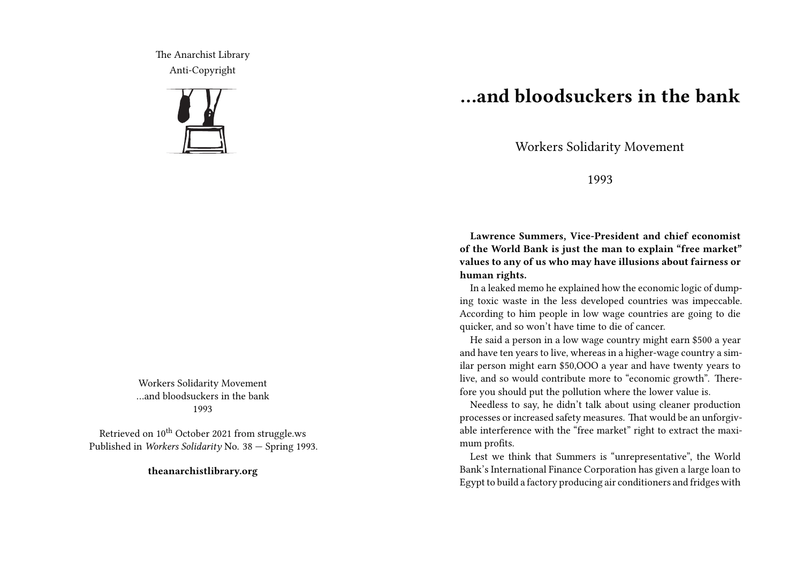The Anarchist Library Anti-Copyright



Workers Solidarity Movement …and bloodsuckers in the bank 1993

Retrieved on 10<sup>th</sup> October 2021 from struggle.ws Published in *Workers Solidarity* No. 38 — Spring 1993.

**theanarchistlibrary.org**

## **…and bloodsuckers in the bank**

Workers Solidarity Movement

## 1993

**Lawrence Summers, Vice-President and chief economist of the World Bank is just the man to explain "free market" values to any of us who may have illusions about fairness or human rights.**

In a leaked memo he explained how the economic logic of dumping toxic waste in the less developed countries was impeccable. According to him people in low wage countries are going to die quicker, and so won't have time to die of cancer.

He said a person in a low wage country might earn \$500 a year and have ten years to live, whereas in a higher-wage country a similar person might earn \$50,OOO a year and have twenty years to live, and so would contribute more to "economic growth". Therefore you should put the pollution where the lower value is.

Needless to say, he didn't talk about using cleaner production processes or increased safety measures. That would be an unforgivable interference with the "free market" right to extract the maximum profits.

Lest we think that Summers is "unrepresentative", the World Bank's International Finance Corporation has given a large loan to Egypt to build a factory producing air conditioners and fridges with